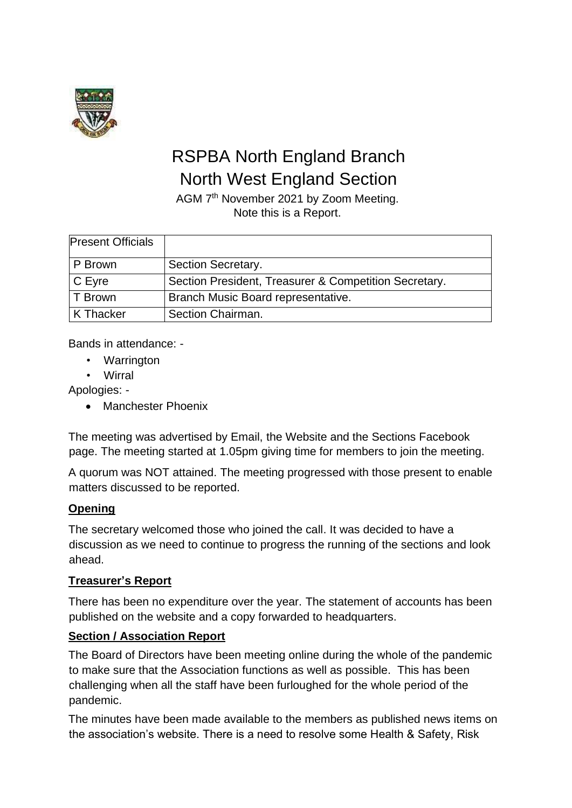

# RSPBA North England Branch North West England Section

AGM 7<sup>th</sup> November 2021 by Zoom Meeting. Note this is a Report.

| <b>Present Officials</b> |                                                       |
|--------------------------|-------------------------------------------------------|
| P Brown                  | Section Secretary.                                    |
| $C$ Eyre                 | Section President, Treasurer & Competition Secretary. |
| T Brown                  | Branch Music Board representative.                    |
| K Thacker                | Section Chairman.                                     |

Bands in attendance: -

- Warrington
- Wirral

Apologies: -

• Manchester Phoenix

The meeting was advertised by Email, the Website and the Sections Facebook page. The meeting started at 1.05pm giving time for members to join the meeting.

A quorum was NOT attained. The meeting progressed with those present to enable matters discussed to be reported.

# **Opening**

The secretary welcomed those who joined the call. It was decided to have a discussion as we need to continue to progress the running of the sections and look ahead.

# **Treasurer's Report**

There has been no expenditure over the year. The statement of accounts has been published on the website and a copy forwarded to headquarters.

# **Section / Association Report**

The Board of Directors have been meeting online during the whole of the pandemic to make sure that the Association functions as well as possible. This has been challenging when all the staff have been furloughed for the whole period of the pandemic.

The minutes have been made available to the members as published news items on the association's website. There is a need to resolve some Health & Safety, Risk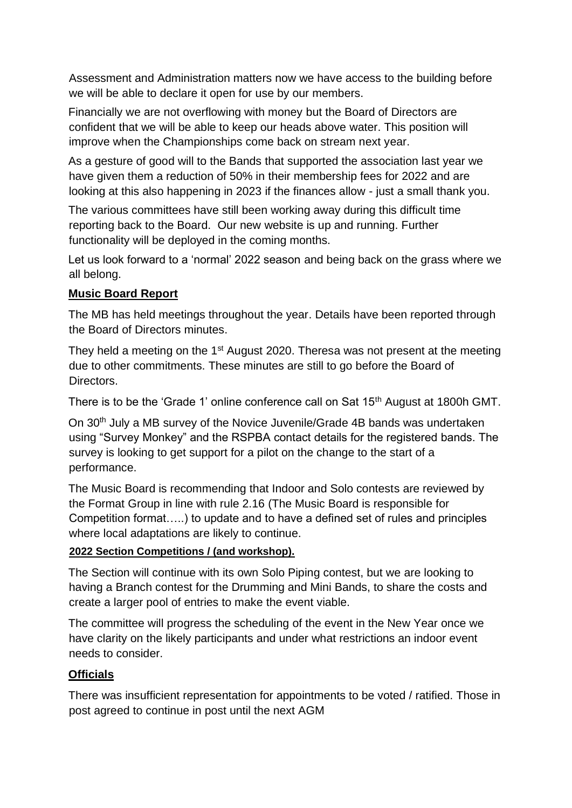Assessment and Administration matters now we have access to the building before we will be able to declare it open for use by our members.

Financially we are not overflowing with money but the Board of Directors are confident that we will be able to keep our heads above water. This position will improve when the Championships come back on stream next year.

As a gesture of good will to the Bands that supported the association last year we have given them a reduction of 50% in their membership fees for 2022 and are looking at this also happening in 2023 if the finances allow - just a small thank you.

The various committees have still been working away during this difficult time reporting back to the Board. Our new website is up and running. Further functionality will be deployed in the coming months.

Let us look forward to a 'normal' 2022 season and being back on the grass where we all belong.

## **Music Board Report**

The MB has held meetings throughout the year. Details have been reported through the Board of Directors minutes.

They held a meeting on the 1<sup>st</sup> August 2020. Theresa was not present at the meeting due to other commitments. These minutes are still to go before the Board of Directors.

There is to be the 'Grade 1' online conference call on Sat 15<sup>th</sup> August at 1800h GMT.

On 30th July a MB survey of the Novice Juvenile/Grade 4B bands was undertaken using "Survey Monkey" and the RSPBA contact details for the registered bands. The survey is looking to get support for a pilot on the change to the start of a performance.

The Music Board is recommending that Indoor and Solo contests are reviewed by the Format Group in line with rule 2.16 (The Music Board is responsible for Competition format…..) to update and to have a defined set of rules and principles where local adaptations are likely to continue.

### **2022 Section Competitions / (and workshop).**

The Section will continue with its own Solo Piping contest, but we are looking to having a Branch contest for the Drumming and Mini Bands, to share the costs and create a larger pool of entries to make the event viable.

The committee will progress the scheduling of the event in the New Year once we have clarity on the likely participants and under what restrictions an indoor event needs to consider.

### **Officials**

There was insufficient representation for appointments to be voted / ratified. Those in post agreed to continue in post until the next AGM